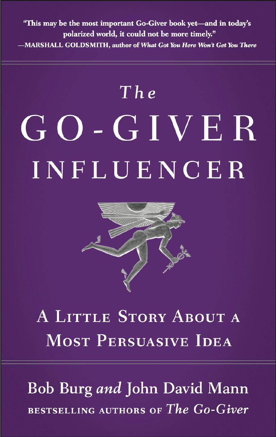"This may be the most important Go-Giver book yet—and in today's polarized world, it could not be more timely." -MARSHALL GOLDSMITH, author of What Got You Here Won't Get You There

# $The$ GO-GIVER INFLUENCER



## A LITTLE STORY ABOUT A **MOST PERSUASIVE IDEA**

Bob Burg and John David Mann BESTSELLING AUTHORS OF The Go-Giver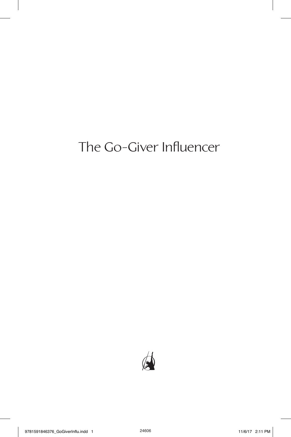## The Go-Giver Infuencer

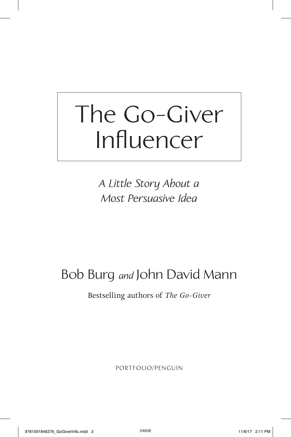## The Go-Giver Infuencer

*A Little Story About a Most Persuasive Idea*

### Bob Burg *and* John David Mann

Bestselling authors of *The Go-Giver*

PORTFOLIO/PENGUIN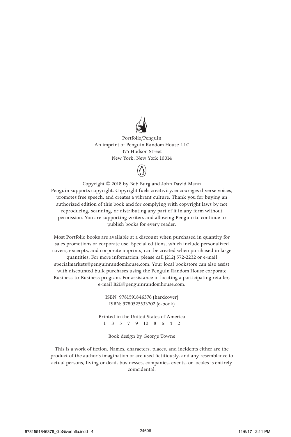

Portfolio/Penguin An imprint of Penguin Random House LLC 375 Hudson Street New York, New York 10014



Copyright © 2018 by Bob Burg and John David Mann Penguin supports copyright. Copyright fuels creativity, encourages diverse voices, promotes free speech, and creates a vibrant culture. Thank you for buying an authorized edition of this book and for complying with copyright laws by not reproducing, scanning, or distributing any part of it in any form without permission. You are supporting writers and allowing Penguin to continue to publish books for every reader.

Most Portfolio books are available at a discount when purchased in quantity for sales promotions or corporate use. Special editions, which include personalized covers, excerpts, and corporate imprints, can be created when purchased in large quantities. For more information, please call (212) 572-2232 or e-mail specialmarkets@penguinrandomhouse.com. Your local bookstore can also assist with discounted bulk purchases using the Penguin Random House corporate Business-to-Business program. For assistance in locating a participating retailer, e-mail B2B@penguinrandomhouse.com.

> ISBN: 9781591846376 (hardcover) ISBN: 9780525533702 (e-book)

Printed in the United States of America 1 3 5 7 9 10 8 6 4 2

Book design by George Towne

This is a work of fiction. Names, characters, places, and incidents either are the product of the author's imagination or are used fctitiously, and any resemblance to actual persons, living or dead, businesses, companies, events, or locales is entirely coincidental.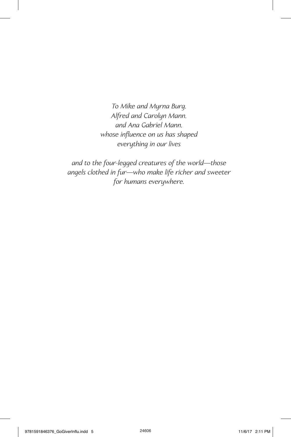*To Mike and Myrna Burg, Alfred and Carolyn Mann, and Ana Gabriel Mann, whose infuence on us has shaped everything in our lives*

*and to the four-legged creatures of the world—those angels clothed in fur—who make life richer and sweeter for humans everywhere.*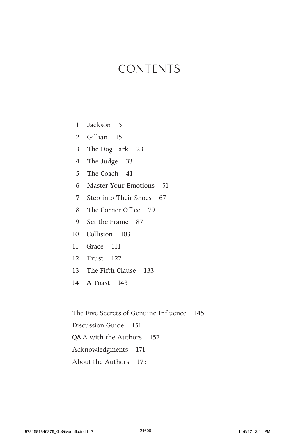### **CONTENTS**

- Jackson 5
- Gillian 15
- The Dog Park 23
- The Judge 33
- The Coach 41
- Master Your Emotions 51
- Step into Their Shoes 67
- 8 The Corner Office 79
- Set the Frame 87
- Collision 103
- Grace 111
- Trust 127
- The Fifth Clause 133
- A Toast 143

The Five Secrets of Genuine Infuence 145 Discussion Guide 151 Q&A with the Authors 157 Acknowledgments 171 About the Authors 175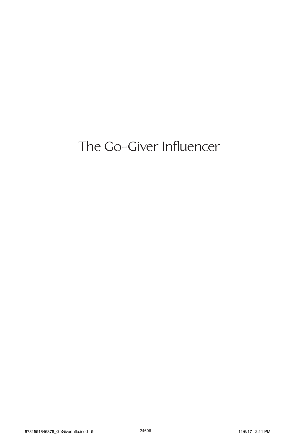## The Go-Giver Infuencer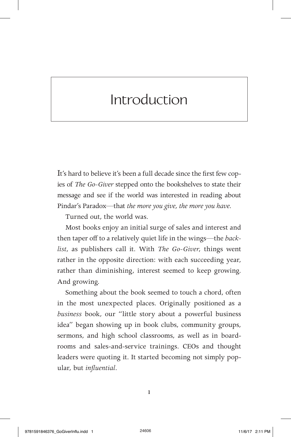## Introduction

It's hard to believe it's been a full decade since the frst few copies of *The Go-Giver* stepped onto the bookshelves to state their message and see if the world was interested in reading about Pindar's Paradox—that *the more you give, the more you have*.

Turned out, the world was.

Most books enjoy an initial surge of sales and interest and then taper off to a relatively quiet life in the wings—the *backlist*, as publishers call it. With *The Go-Giver*, things went rather in the opposite direction: with each succeeding year, rather than diminishing, interest seemed to keep growing. And growing.

Something about the book seemed to touch a chord, often in the most unexpected places. Originally positioned as a *business* book, our "little story about a powerful business idea" began showing up in book clubs, community groups, sermons, and high school classrooms, as well as in boardrooms and sales-and-service trainings. CEOs and thought leaders were quoting it. It started becoming not simply popular, but *infuential*.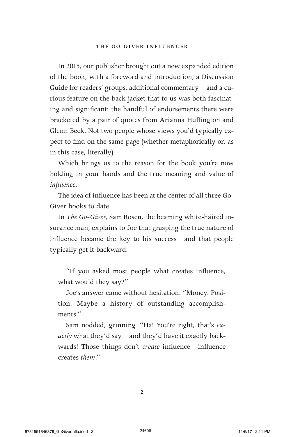In 2015, our publisher brought out a new expanded edition of the book, with a foreword and introduction, a Discussion Guide for readers' groups, additional commentary—and a curious feature on the back jacket that to us was both fascinating and signifcant: the handful of endorsements there were bracketed by a pair of quotes from Arianna Huffington and Glenn Beck. Not two people whose views you'd typically expect to fnd on the same page (whether metaphorically or, as in this case, literally).

Which brings us to the reason for the book you're now holding in your hands and the true meaning and value of *infuence*.

The idea of infuence has been at the center of all three Go-Giver books to date.

In *The Go-Giver*, Sam Rosen, the beaming white-haired insurance man, explains to Joe that grasping the true nature of infuence became the key to his success—and that people typically get it backward:

"If you asked most people what creates infuence, what would they say?"

Joe's answer came without hesitation. "Money. Position. Maybe a history of outstanding accomplishments."

Sam nodded, grinning. "Ha! You're right, that's *exactly* what they'd say—and they'd have it exactly backwards! Those things don't *create* infuence—infuence creates *them*."

**2**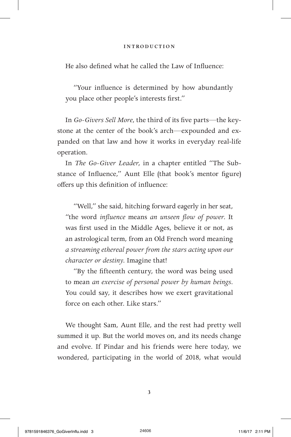#### **INTRODUCTIO N**

He also defned what he called the Law of Infuence:

"Your infuence is determined by how abundantly you place other people's interests frst."

In *Go-Givers Sell More*, the third of its five parts—the keystone at the center of the book's arch—expounded and expanded on that law and how it works in everyday real-life operation.

In *The Go-Giver Leader*, in a chapter entitled "The Substance of Influence," Aunt Elle (that book's mentor figure) offers up this definition of influence:

"Well," she said, hitching forward eagerly in her seat, "the word *infuence* means *an unseen fow of power*. It was frst used in the Middle Ages, believe it or not, as an astrological term, from an Old French word meaning *a streaming ethereal power from the stars acting upon our character or destiny*. Imagine that!

"By the ffteenth century, the word was being used to mean *an exercise of personal power by human beings*. You could say, it describes how we exert gravitational force on each other. Like stars."

We thought Sam, Aunt Elle, and the rest had pretty well summed it up. But the world moves on, and its needs change and evolve. If Pindar and his friends were here today, we wondered, participating in the world of 2018, what would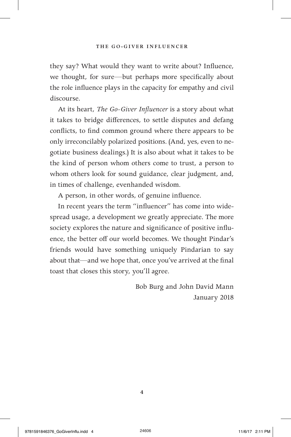they say? What would they want to write about? Infuence, we thought, for sure—but perhaps more specifcally about the role infuence plays in the capacity for empathy and civil discourse.

At its heart, *The Go-Giver Infuencer* is a story about what it takes to bridge diferences, to settle disputes and defang conficts, to fnd common ground where there appears to be only irreconcilably polarized positions. (And, yes, even to negotiate business dealings.) It is also about what it takes to be the kind of person whom others come to trust, a person to whom others look for sound guidance, clear judgment, and, in times of challenge, evenhanded wisdom.

A person, in other words, of genuine infuence.

In recent years the term "infuencer" has come into widespread usage, a development we greatly appreciate. The more society explores the nature and signifcance of positive infuence, the better off our world becomes. We thought Pindar's friends would have something uniquely Pindarian to say about that—and we hope that, once you've arrived at the fnal toast that closes this story, you'll agree.

> Bob Burg and John David Mann January 2018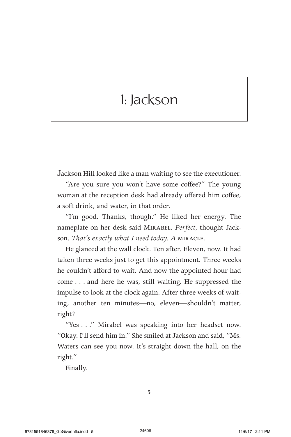## 1: Jackson

Jackson Hill looked like a man waiting to see the executioner.

"Are you sure you won't have some coffee?" The young woman at the reception desk had already offered him coffee, a soft drink, and water, in that order.

"I'm good. Thanks, though." He liked her energy. The nameplate on her desk said Mirabel. *Perfect*, thought Jackson. That's exactly what I need today. A MIRACLE.

He glanced at the wall clock. Ten after. Eleven, now. It had taken three weeks just to get this appointment. Three weeks he couldn't afford to wait. And now the appointed hour had come . . . and here he was, still waiting. He suppressed the impulse to look at the clock again. After three weeks of waiting, another ten minutes—no, eleven—shouldn't matter, right?

"Yes . . ." Mirabel was speaking into her headset now. "Okay. I'll send him in." She smiled at Jackson and said, "Ms. Waters can see you now. It's straight down the hall, on the right."

Finally.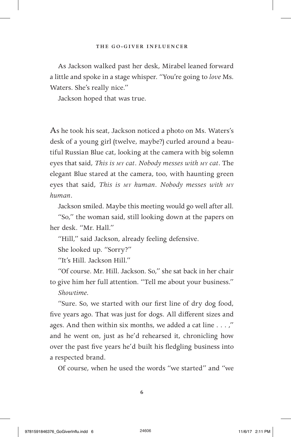As Jackson walked past her desk, Mirabel leaned forward a little and spoke in a stage whisper. "You're going to *love* Ms. Waters. She's really nice."

Jackson hoped that was true.

As he took his seat, Jackson noticed a photo on Ms. Waters's desk of a young girl (twelve, maybe?) curled around a beautiful Russian Blue cat, looking at the camera with big solemn eyes that said, *This is MY cat. Nobody messes with MY cat.* The elegant Blue stared at the camera, too, with haunting green eyes that said, *This is MY human. Nobody messes with MY human.*

Jackson smiled. Maybe this meeting would go well after all.

"So," the woman said, still looking down at the papers on her desk. "Mr. Hall."

"Hill," said Jackson, already feeling defensive.

She looked up. "Sorry?"

"It's Hill. Jackson Hill."

"Of course. Mr. Hill. Jackson. So," she sat back in her chair to give him her full attention. "Tell me about your business." *Showtime*.

"Sure. So, we started with our frst line of dry dog food, fve years ago. That was just for dogs. All diferent sizes and ages. And then within six months, we added a cat line . . . ," and he went on, just as he'd rehearsed it, chronicling how over the past fve years he'd built his fedgling business into a respected brand.

Of course, when he used the words "we started" and "we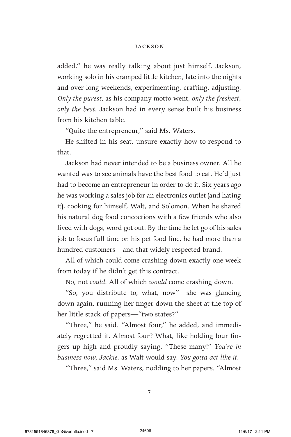#### **JACKSON**

added," he was really talking about just himself, Jackson, working solo in his cramped little kitchen, late into the nights and over long weekends, experimenting, crafting, adjusting. *Only the purest*, as his company motto went, *only the freshest, only the best*. Jackson had in every sense built his business from his kitchen table.

"Quite the entrepreneur," said Ms. Waters.

He shifted in his seat, unsure exactly how to respond to that.

Jackson had never intended to be a business owner. All he wanted was to see animals have the best food to eat. He'd just had to become an entrepreneur in order to do it. Six years ago he was working a sales job for an electronics outlet (and hating it), cooking for himself, Walt, and Solomon. When he shared his natural dog food concoctions with a few friends who also lived with dogs, word got out. By the time he let go of his sales job to focus full time on his pet food line, he had more than a hundred customers—and that widely respected brand.

All of which could come crashing down exactly one week from today if he didn't get this contract.

No, not *could*. All of which *would* come crashing down.

"So, you distribute to, what, now"—she was glancing down again, running her fnger down the sheet at the top of her little stack of papers—"two states?"

"Three," he said. "Almost four," he added, and immediately regretted it. Almost four? What, like holding four fngers up high and proudly saying, "These many!" *You're in business now, Jackie*, as Walt would say. *You gotta act like it*.

"Three," said Ms. Waters, nodding to her papers. "Almost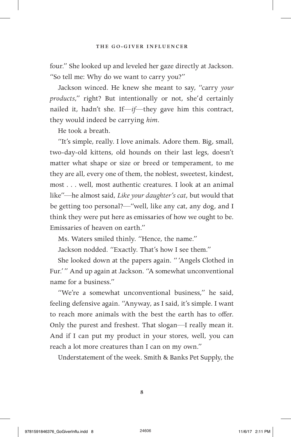four." She looked up and leveled her gaze directly at Jackson. "So tell me: Why do we want to carry you?"

Jackson winced. He knew she meant to say, "carry *your products*," right? But intentionally or not, she'd certainly nailed it, hadn't she. If—*if*—they gave him this contract, they would indeed be carrying *him*.

He took a breath.

"It's simple, really. I love animals. Adore them. Big, small, two-day-old kittens, old hounds on their last legs, doesn't matter what shape or size or breed or temperament, to me they are all, every one of them, the noblest, sweetest, kindest, most . . . well, most authentic creatures. I look at an animal like"—he almost said, *Like your daughter's cat*, but would that be getting too personal?—"well, like any cat, any dog, and I think they were put here as emissaries of how we ought to be. Emissaries of heaven on earth."

Ms. Waters smiled thinly. "Hence, the name."

Jackson nodded. "Exactly. That's how I see them."

She looked down at the papers again. " 'Angels Clothed in Fur.'" And up again at Jackson. "A somewhat unconventional name for a business."

"We're a somewhat unconventional business," he said, feeling defensive again. "Anyway, as I said, it's simple. I want to reach more animals with the best the earth has to offer. Only the purest and freshest. That slogan—I really mean it. And if I can put my product in your stores, well, you can reach a lot more creatures than I can on my own."

Understatement of the week. Smith & Banks Pet Supply, the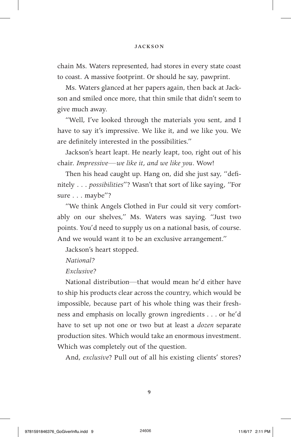chain Ms. Waters represented, had stores in every state coast to coast. A massive footprint. Or should he say, pawprint.

Ms. Waters glanced at her papers again, then back at Jackson and smiled once more, that thin smile that didn't seem to give much away.

"Well, I've looked through the materials you sent, and I have to say it's impressive. We like it, and we like you. We are defnitely interested in the possibilities."

Jackson's heart leapt. He nearly leapt, too, right out of his chair. *Impressive—we like it, and we like you.* Wow!

Then his head caught up. Hang on, did she just say, "defnitely . . . *possibilities*"? Wasn't that sort of like saying, "For sure . . . maybe"?

"We think Angels Clothed in Fur could sit very comfortably on our shelves," Ms. Waters was saying. "Just two points. You'd need to supply us on a national basis, of course. And we would want it to be an exclusive arrangement."

Jackson's heart stopped.

*National?*

#### *Exclusive?*

National distribution—that would mean he'd either have to ship his products clear across the country, which would be impossible, because part of his whole thing was their freshness and emphasis on locally grown ingredients . . . or he'd have to set up not one or two but at least a *dozen* separate production sites. Which would take an enormous investment. Which was completely out of the question.

And, *exclusive*? Pull out of all his existing clients' stores?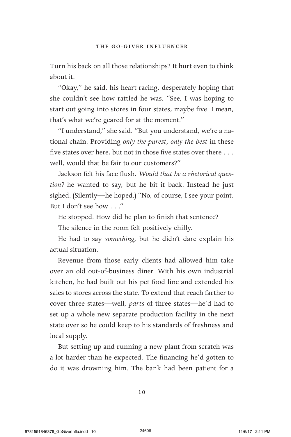Turn his back on all those relationships? It hurt even to think about it.

"Okay," he said, his heart racing, desperately hoping that she couldn't see how rattled he was. "See, I was hoping to start out going into stores in four states, maybe five. I mean, that's what we're geared for at the moment."

"I understand," she said. "But you understand, we're a national chain. Providing *only the purest, only the best* in these five states over here, but not in those five states over there . . . well, would that be fair to our customers?"

Jackson felt his face fush. *Would that be a rhetorical question?* he wanted to say, but he bit it back. Instead he just sighed. (Silently—he hoped.) "No, of course, I see your point. But I don't see how . . ."

He stopped. How did he plan to fnish that sentence?

The silence in the room felt positively chilly.

He had to say *something*, but he didn't dare explain his actual situation.

Revenue from those early clients had allowed him take over an old out-of-business diner. With his own industrial kitchen, he had built out his pet food line and extended his sales to stores across the state. To extend that reach farther to cover three states—well, *parts* of three states—he'd had to set up a whole new separate production facility in the next state over so he could keep to his standards of freshness and local supply.

But setting up and running a new plant from scratch was a lot harder than he expected. The fnancing he'd gotten to do it was drowning him. The bank had been patient for a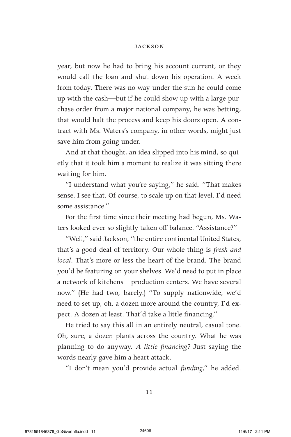#### **JACKSON**

year, but now he had to bring his account current, or they would call the loan and shut down his operation. A week from today. There was no way under the sun he could come up with the cash—but if he could show up with a large purchase order from a major national company, he was betting, that would halt the process and keep his doors open. A contract with Ms. Waters's company, in other words, might just save him from going under.

And at that thought, an idea slipped into his mind, so quietly that it took him a moment to realize it was sitting there waiting for him.

"I understand what you're saying," he said. "That makes sense. I see that. Of course, to scale up on that level, I'd need some assistance."

For the frst time since their meeting had begun, Ms. Waters looked ever so slightly taken off balance. "Assistance?"

"Well," said Jackson, "the entire continental United States, that's a good deal of territory. Our whole thing is *fresh and local*. That's more or less the heart of the brand. The brand you'd be featuring on your shelves. We'd need to put in place a network of kitchens—production centers. We have several now." (He had two, barely.) "To supply nationwide, we'd need to set up, oh, a dozen more around the country, I'd expect. A dozen at least. That'd take a little fnancing."

He tried to say this all in an entirely neutral, casual tone. Oh, sure, a dozen plants across the country. What he was planning to do anyway. *A little fnancing?* Just saying the words nearly gave him a heart attack.

"I don't mean you'd provide actual *funding*," he added.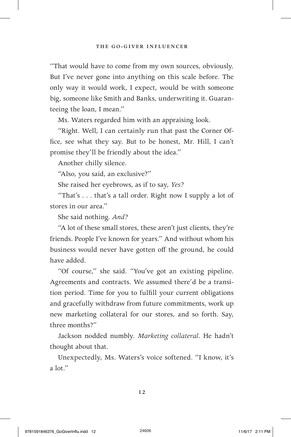"That would have to come from my own sources, obviously. But I've never gone into anything on this scale before. The only way it would work, I expect, would be with someone big, someone like Smith and Banks, underwriting it. Guaranteeing the loan, I mean."

Ms. Waters regarded him with an appraising look.

"Right. Well, I can certainly run that past the Corner Office, see what they say. But to be honest, Mr. Hill, I can't promise they'll be friendly about the idea."

Another chilly silence.

"Also, you said, an exclusive?"

She raised her eyebrows, as if to say, *Yes?*

"That's . . . that's a tall order. Right now I supply a lot of stores in our area."

She said nothing. *And?*

"A lot of these small stores, these aren't just clients, they're friends. People I've known for years." And without whom his business would never have gotten off the ground, he could have added.

"Of course," she said. "You've got an existing pipeline. Agreements and contracts. We assumed there'd be a transition period. Time for you to fulfll your current obligations and gracefully withdraw from future commitments, work up new marketing collateral for our stores, and so forth. Say, three months?"

Jackson nodded numbly. *Marketing collateral*. He hadn't thought about that.

Unexpectedly, Ms. Waters's voice softened. "I know, it's a lot."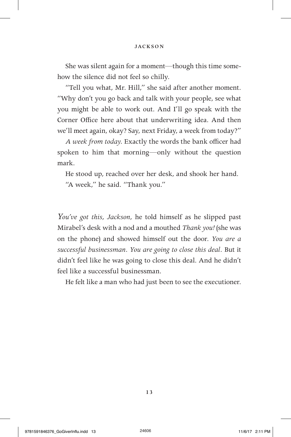She was silent again for a moment—though this time some how the silence did not feel so chilly.

"Tell you what, Mr. Hill," she said after another moment. "Why don't you go back and talk with your people, see what you might be able to work out. And I'll go speak with the Corner Office here about that underwriting idea. And then we'll meet again, okay? Say, next Friday, a week from today?"

A week from today. Exactly the words the bank officer had spoken to him that morning—only without the question mark.

He stood up, reached over her desk, and shook her hand. "A week," he said. "Thank you."

*You've got this, Jackson*, he told himself as he slipped past Mirabel's desk with a nod and a mouthed *Thank you!* (she was on the phone) and showed himself out the door. *You are a successful businessman. You are going to close this deal.* But it didn't feel like he was going to close this deal. And he didn't feel like a successful businessman.

He felt like a man who had just been to see the executioner.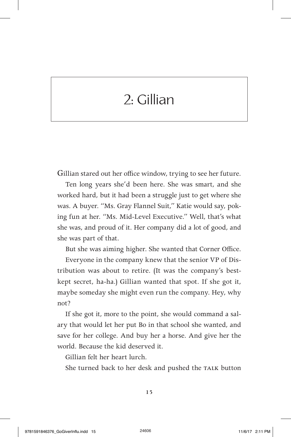## 2: Gillian

Gillian stared out her office window, trying to see her future.

Ten long years she'd been here. She was smart, and she worked hard, but it had been a struggle just to get where she was. A buyer. "Ms. Gray Flannel Suit," Katie would say, poking fun at her. "Ms. Mid-Level Executive." Well, that's what she was, and proud of it. Her company did a lot of good, and she was part of that.

But she was aiming higher. She wanted that Corner Office.

Everyone in the company knew that the senior VP of Distribution was about to retire. (It was the company's bestkept secret, ha-ha.) Gillian wanted that spot. If she got it, maybe someday she might even run the company. Hey, why not?

If she got it, more to the point, she would command a salary that would let her put Bo in that school she wanted, and save for her college. And buy her a horse. And give her the world. Because the kid deserved it.

Gillian felt her heart lurch.

She turned back to her desk and pushed the TALK button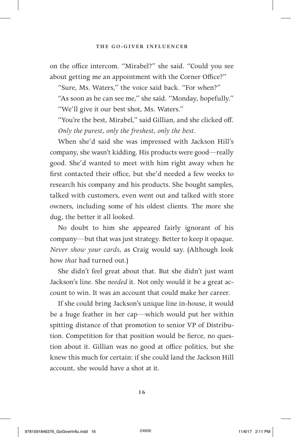on the office intercom. "Mirabel?" she said. "Could you see about getting me an appointment with the Corner Office?"

"Sure, Ms. Waters," the voice said back. "For when?"

"As soon as he can see me," she said. "Monday, hopefully." "We'll give it our best shot, Ms. Waters."

"You're the best, Mirabel," said Gillian, and she clicked of. *Only the purest, only the freshest, only the best.*

When she'd said she was impressed with Jackson Hill's company, she wasn't kidding. His products were good—really good. She'd wanted to meet with him right away when he first contacted their office, but she'd needed a few weeks to research his company and his products. She bought samples, talked with customers, even went out and talked with store owners, including some of his oldest clients. The more she dug, the better it all looked.

No doubt to him she appeared fairly ignorant of his company—but that was just strategy. Better to keep it opaque. *Never show your cards*, as Craig would say. (Although look how *that* had turned out.)

She didn't feel great about that. But she didn't just want Jackson's line. She *needed* it. Not only would it be a great account to win. It was an account that could make her career.

If she could bring Jackson's unique line in-house, it would be a huge feather in her cap—which would put her within spitting distance of that promotion to senior VP of Distribution. Competition for that position would be ferce, no question about it. Gillian was no good at office politics, but she knew this much for certain: if she could land the Jackson Hill account, she would have a shot at it.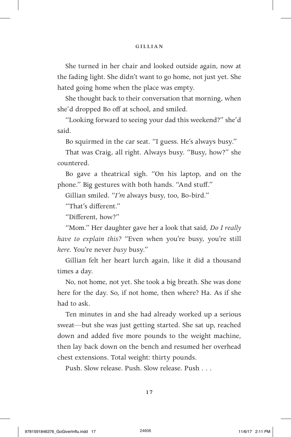#### **GI L L IA N**

She turned in her chair and looked outside again, now at the fading light. She didn't want to go home, not just yet. She hated going home when the place was empty.

She thought back to their conversation that morning, when she'd dropped Bo off at school, and smiled.

"Looking forward to seeing your dad this weekend?" she'd said.

Bo squirmed in the car seat. "I guess. He's always busy."

That was Craig, all right. Always busy. "Busy, how?" she countered.

Bo gave a theatrical sigh. "On his laptop, and on the phone." Big gestures with both hands. "And stuf."

Gillian smiled. "*I'm* always busy, too, Bo-bird."

"That's diferent."

"Diferent, how?"

"Mom." Her daughter gave her a look that said, *Do I really have to explain this?* "Even when you're busy, you're still *here*. You're never *busy* busy."

Gillian felt her heart lurch again, like it did a thousand times a day.

No, not home, not yet. She took a big breath. She was done here for the day. So, if not home, then where? Ha. As if she had to ask.

Ten minutes in and she had already worked up a serious sweat—but she was just getting started. She sat up, reached down and added fve more pounds to the weight machine, then lay back down on the bench and resumed her overhead chest extensions. Total weight: thirty pounds.

Push. Slow release. Push. Slow release. Push . . .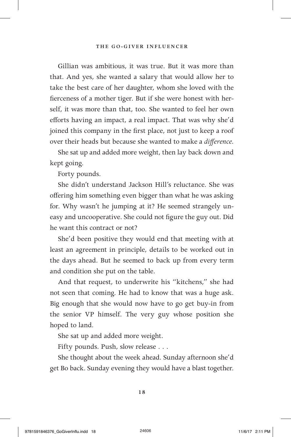Gillian was ambitious, it was true. But it was more than that. And yes, she wanted a salary that would allow her to take the best care of her daughter, whom she loved with the ferceness of a mother tiger. But if she were honest with herself, it was more than that, too. She wanted to feel her own efforts having an impact, a real impact. That was why she'd joined this company in the frst place, not just to keep a roof over their heads but because she wanted to make a *diference*.

She sat up and added more weight, then lay back down and kept going.

Forty pounds.

She didn't understand Jackson Hill's reluctance. She was ofering him something even bigger than what he was asking for. Why wasn't he jumping at it? He seemed strangely uneasy and uncooperative. She could not fgure the guy out. Did he want this contract or not?

She'd been positive they would end that meeting with at least an agreement in principle, details to be worked out in the days ahead. But he seemed to back up from every term and condition she put on the table.

And that request, to underwrite his "kitchens," she had not seen that coming. He had to know that was a huge ask. Big enough that she would now have to go get buy-in from the senior VP himself. The very guy whose position she hoped to land.

She sat up and added more weight.

Fifty pounds. Push, slow release . . .

She thought about the week ahead. Sunday afternoon she'd get Bo back. Sunday evening they would have a blast together.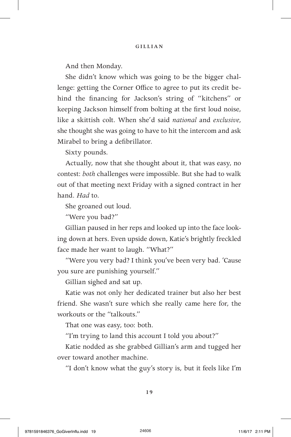And then Monday.

She didn't know which was going to be the bigger challenge: getting the Corner Office to agree to put its credit behind the fnancing for Jackson's string of "kitchens" or keeping Jackson himself from bolting at the frst loud noise, like a skittish colt. When she'd said *national* and *exclusive*, she thought she was going to have to hit the intercom and ask Mirabel to bring a defbrillator.

Sixty pounds.

Actually, now that she thought about it, that was easy, no contest: *both* challenges were impossible. But she had to walk out of that meeting next Friday with a signed contract in her hand. *Had* to.

She groaned out loud.

"Were you bad?"

Gillian paused in her reps and looked up into the face looking down at hers. Even upside down, Katie's brightly freckled face made her want to laugh. "What?"

"Were you very bad? I think you've been very bad. 'Cause you sure are punishing yourself."

Gillian sighed and sat up.

Katie was not only her dedicated trainer but also her best friend. She wasn't sure which she really came here for, the workouts or the "talkouts."

That one was easy, too: both.

"I'm trying to land this account I told you about?"

Katie nodded as she grabbed Gillian's arm and tugged her over toward another machine.

"I don't know what the guy's story is, but it feels like I'm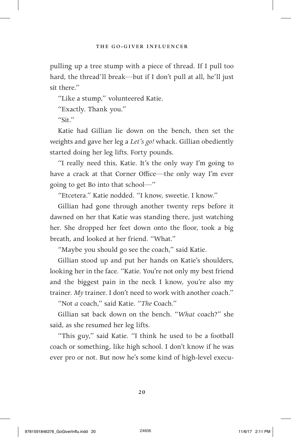pulling up a tree stump with a piece of thread. If I pull too hard, the thread'll break—but if I don't pull at all, he'll just sit there."

"Like a stump," volunteered Katie.

"Exactly. Thank you."

"Sit."

Katie had Gillian lie down on the bench, then set the weights and gave her leg a *Let's go!* whack. Gillian obediently started doing her leg lifts. Forty pounds.

"I really need this, Katie. It's the only way I'm going to have a crack at that Corner Office—the only way I'm ever going to get Bo into that school—"

"Etcetera." Katie nodded. "I know, sweetie. I know."

Gillian had gone through another twenty reps before it dawned on her that Katie was standing there, just watching her. She dropped her feet down onto the floor, took a big breath, and looked at her friend. "What."

"Maybe you should go see the coach," said Katie.

Gillian stood up and put her hands on Katie's shoulders, looking her in the face. "Katie. You're not only my best friend and the biggest pain in the neck I know, you're also my trainer. *My* trainer. I don't need to work with another coach."

"Not *a* coach," said Katie. "*The* Coach."

Gillian sat back down on the bench. "*What* coach?" she said, as she resumed her leg lifts.

"This guy," said Katie. "I think he used to be a football coach or something, like high school. I don't know if he was ever pro or not. But now he's some kind of high-level execu-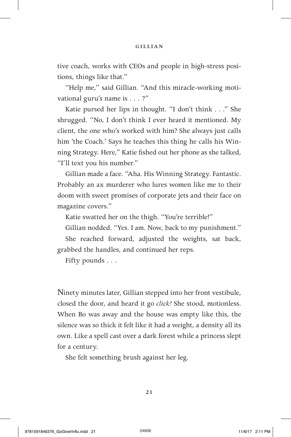#### **GI L L IA N**

tive coach, works with CEOs and people in high-stress positions, things like that."

"Help me," said Gillian. "And this miracle-working motivational guru's name is . . . ?"

Katie pursed her lips in thought. "I don't think . . ." She shrugged. "No, I don't think I ever heard it mentioned. My client, the one who's worked with him? She always just calls him 'the Coach.' Says he teaches this thing he calls his Winning Strategy. Here," Katie fshed out her phone as she talked, "I'll text you his number."

Gillian made a face. "Aha. His Winning Strategy. Fantastic. Probably an ax murderer who lures women like me to their doom with sweet promises of corporate jets and their face on magazine covers."

Katie swatted her on the thigh. "You're terrible!"

Gillian nodded. "Yes. I am. Now, back to my punishment."

She reached forward, adjusted the weights, sat back, grabbed the handles, and continued her reps.

Fifty pounds . . .

Ninety minutes later, Gillian stepped into her front vestibule, closed the door, and heard it go *click!* She stood, motionless. When Bo was away and the house was empty like this, the silence was so thick it felt like it had a weight, a density all its own. Like a spell cast over a dark forest while a princess slept for a century.

She felt something brush against her leg.